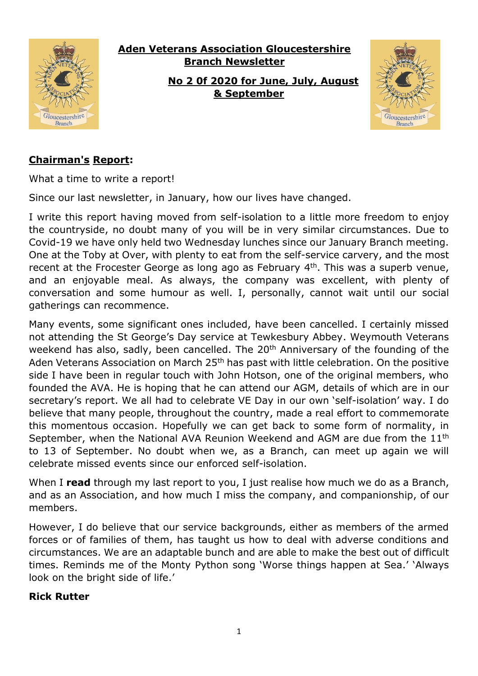

# **Aden Veterans Association Gloucestershire Branch Newsletter**

**No 2 0f 2020 for June, July, August & September**



# **Chairman's Report:**

What a time to write a report!

Since our last newsletter, in January, how our lives have changed.

I write this report having moved from self-isolation to a little more freedom to enjoy the countryside, no doubt many of you will be in very similar circumstances. Due to Covid-19 we have only held two Wednesday lunches since our January Branch meeting. One at the Toby at Over, with plenty to eat from the self-service carvery, and the most recent at the Frocester George as long ago as February 4<sup>th</sup>. This was a superb venue, and an enjoyable meal. As always, the company was excellent, with plenty of conversation and some humour as well. I, personally, cannot wait until our social gatherings can recommence.

Many events, some significant ones included, have been cancelled. I certainly missed not attending the St George's Day service at Tewkesbury Abbey. Weymouth Veterans weekend has also, sadly, been cancelled. The 20<sup>th</sup> Anniversary of the founding of the Aden Veterans Association on March 25<sup>th</sup> has past with little celebration. On the positive side I have been in regular touch with John Hotson, one of the original members, who founded the AVA. He is hoping that he can attend our AGM, details of which are in our secretary's report. We all had to celebrate VE Day in our own 'self-isolation' way. I do believe that many people, throughout the country, made a real effort to commemorate this momentous occasion. Hopefully we can get back to some form of normality, in September, when the National AVA Reunion Weekend and AGM are due from the 11th to 13 of September. No doubt when we, as a Branch, can meet up again we will celebrate missed events since our enforced self-isolation.

When I **read** through my last report to you, I just realise how much we do as a Branch, and as an Association, and how much I miss the company, and companionship, of our members.

However, I do believe that our service backgrounds, either as members of the armed forces or of families of them, has taught us how to deal with adverse conditions and circumstances. We are an adaptable bunch and are able to make the best out of difficult times. Reminds me of the Monty Python song 'Worse things happen at Sea.' 'Always look on the bright side of life.'

#### **Rick Rutter**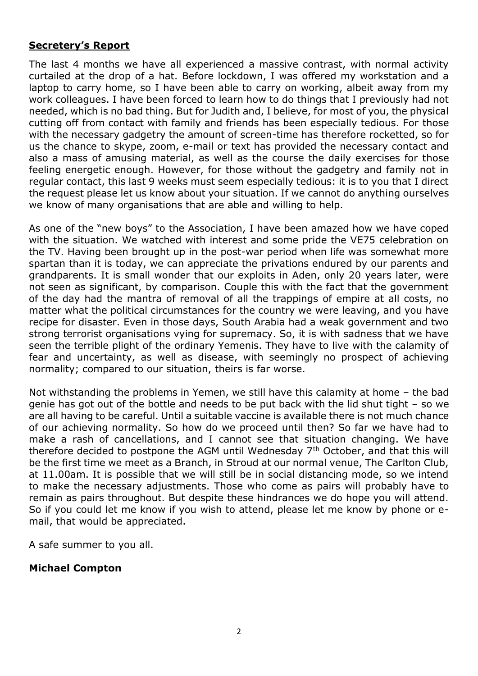#### **Secretery's Report**

The last 4 months we have all experienced a massive contrast, with normal activity curtailed at the drop of a hat. Before lockdown, I was offered my workstation and a laptop to carry home, so I have been able to carry on working, albeit away from my work colleagues. I have been forced to learn how to do things that I previously had not needed, which is no bad thing. But for Judith and, I believe, for most of you, the physical cutting off from contact with family and friends has been especially tedious. For those with the necessary gadgetry the amount of screen-time has therefore rocketted, so for us the chance to skype, zoom, e-mail or text has provided the necessary contact and also a mass of amusing material, as well as the course the daily exercises for those feeling energetic enough. However, for those without the gadgetry and family not in regular contact, this last 9 weeks must seem especially tedious: it is to you that I direct the request please let us know about your situation. If we cannot do anything ourselves we know of many organisations that are able and willing to help.

As one of the "new boys" to the Association, I have been amazed how we have coped with the situation. We watched with interest and some pride the VE75 celebration on the TV. Having been brought up in the post-war period when life was somewhat more spartan than it is today, we can appreciate the privations endured by our parents and grandparents. It is small wonder that our exploits in Aden, only 20 years later, were not seen as significant, by comparison. Couple this with the fact that the government of the day had the mantra of removal of all the trappings of empire at all costs, no matter what the political circumstances for the country we were leaving, and you have recipe for disaster. Even in those days, South Arabia had a weak government and two strong terrorist organisations vying for supremacy. So, it is with sadness that we have seen the terrible plight of the ordinary Yemenis. They have to live with the calamity of fear and uncertainty, as well as disease, with seemingly no prospect of achieving normality; compared to our situation, theirs is far worse.

Not withstanding the problems in Yemen, we still have this calamity at home – the bad genie has got out of the bottle and needs to be put back with the lid shut tight – so we are all having to be careful. Until a suitable vaccine is available there is not much chance of our achieving normality. So how do we proceed until then? So far we have had to make a rash of cancellations, and I cannot see that situation changing. We have therefore decided to postpone the AGM until Wednesday  $7<sup>th</sup>$  October, and that this will be the first time we meet as a Branch, in Stroud at our normal venue, The Carlton Club, at 11.00am. It is possible that we will still be in social distancing mode, so we intend to make the necessary adjustments. Those who come as pairs will probably have to remain as pairs throughout. But despite these hindrances we do hope you will attend. So if you could let me know if you wish to attend, please let me know by phone or email, that would be appreciated.

A safe summer to you all.

#### **Michael Compton**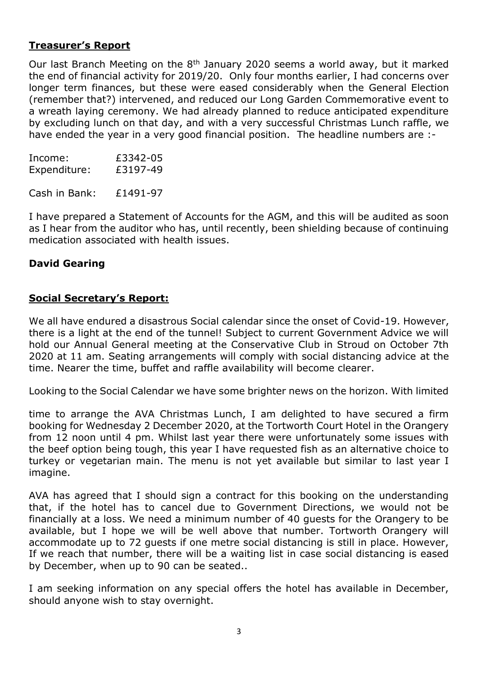#### **Treasurer's Report**

Our last Branch Meeting on the 8<sup>th</sup> January 2020 seems a world away, but it marked the end of financial activity for 2019/20. Only four months earlier, I had concerns over longer term finances, but these were eased considerably when the General Election (remember that?) intervened, and reduced our Long Garden Commemorative event to a wreath laying ceremony. We had already planned to reduce anticipated expenditure by excluding lunch on that day, and with a very successful Christmas Lunch raffle, we have ended the year in a very good financial position. The headline numbers are :-

| Income:      | £3342-05 |
|--------------|----------|
| Expenditure: | £3197-49 |

Cash in Bank: £1491-97

I have prepared a Statement of Accounts for the AGM, and this will be audited as soon as I hear from the auditor who has, until recently, been shielding because of continuing medication associated with health issues.

#### **David Gearing**

#### **Social Secretary's Report:**

We all have endured a disastrous Social calendar since the onset of Covid-19. However, there is a light at the end of the tunnel! Subject to current Government Advice we will hold our Annual General meeting at the Conservative Club in Stroud on October 7th 2020 at 11 am. Seating arrangements will comply with social distancing advice at the time. Nearer the time, buffet and raffle availability will become clearer.

Looking to the Social Calendar we have some brighter news on the horizon. With limited

time to arrange the AVA Christmas Lunch, I am delighted to have secured a firm booking for Wednesday 2 December 2020, at the Tortworth Court Hotel in the Orangery from 12 noon until 4 pm. Whilst last year there were unfortunately some issues with the beef option being tough, this year I have requested fish as an alternative choice to turkey or vegetarian main. The menu is not yet available but similar to last year I imagine.

AVA has agreed that I should sign a contract for this booking on the understanding that, if the hotel has to cancel due to Government Directions, we would not be financially at a loss. We need a minimum number of 40 guests for the Orangery to be available, but I hope we will be well above that number. Tortworth Orangery will accommodate up to 72 guests if one metre social distancing is still in place. However, If we reach that number, there will be a waiting list in case social distancing is eased by December, when up to 90 can be seated..

I am seeking information on any special offers the hotel has available in December, should anyone wish to stay overnight.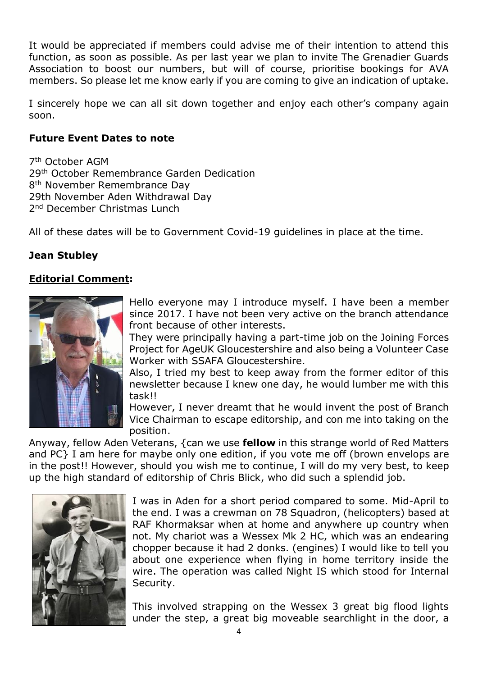It would be appreciated if members could advise me of their intention to attend this function, as soon as possible. As per last year we plan to invite The Grenadier Guards Association to boost our numbers, but will of course, prioritise bookings for AVA members. So please let me know early if you are coming to give an indication of uptake.

I sincerely hope we can all sit down together and enjoy each other's company again soon.

#### **Future Event Dates to note**

7 th October AGM 29th October Remembrance Garden Dedication 8<sup>th</sup> November Remembrance Day 29th November Aden Withdrawal Day 2<sup>nd</sup> December Christmas Lunch

All of these dates will be to Government Covid-19 guidelines in place at the time.

## **Jean Stubley**

#### **Editorial Comment:**



Hello everyone may I introduce myself. I have been a member since 2017. I have not been very active on the branch attendance front because of other interests.

They were principally having a part-time job on the Joining Forces Project for AgeUK Gloucestershire and also being a Volunteer Case Worker with SSAFA Gloucestershire.

Also, I tried my best to keep away from the former editor of this newsletter because I knew one day, he would lumber me with this task!!

However, I never dreamt that he would invent the post of Branch Vice Chairman to escape editorship, and con me into taking on the position.

Anyway, fellow Aden Veterans, {can we use **fellow** in this strange world of Red Matters and PC} I am here for maybe only one edition, if you vote me off (brown envelops are in the post!! However, should you wish me to continue, I will do my very best, to keep up the high standard of editorship of Chris Blick, who did such a splendid job.



I was in Aden for a short period compared to some. Mid-April to the end. I was a crewman on 78 Squadron, (helicopters) based at RAF Khormaksar when at home and anywhere up country when not. My chariot was a Wessex Mk 2 HC, which was an endearing chopper because it had 2 donks. (engines) I would like to tell you about one experience when flying in home territory inside the wire. The operation was called Night IS which stood for Internal Security.

This involved strapping on the Wessex 3 great big flood lights under the step, a great big moveable searchlight in the door, a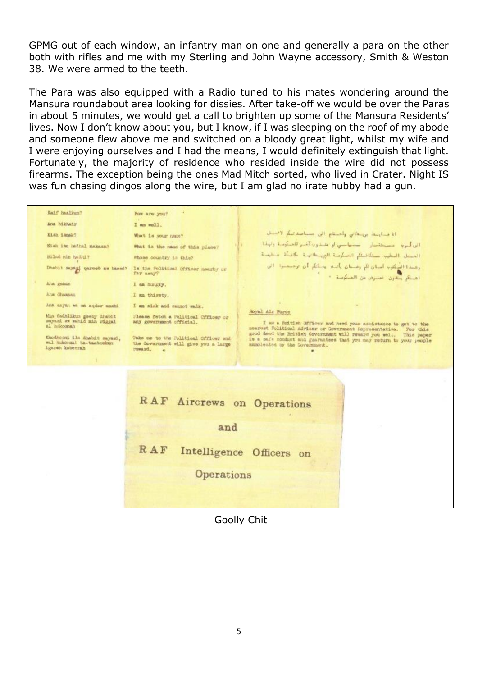GPMG out of each window, an infantry man on one and generally a para on the other both with rifles and me with my Sterling and John Wayne accessory, Smith & Weston 38. We were armed to the teeth.

The Para was also equipped with a Radio tuned to his mates wondering around the Mansura roundabout area looking for dissies. After take-off we would be over the Paras in about 5 minutes, we would get a call to brighten up some of the Mansura Residents' lives. Now I don't know about you, but I know, if I was sleeping on the roof of my abode and someone flew above me and switched on a bloody great light, whilst my wife and I were enjoying ourselves and I had the means, I would definitely extinguish that light. Fortunately, the majority of residence who resided inside the wire did not possess firearms. The exception being the ones Mad Mitch sorted, who lived in Crater. Night IS was fun chasing dingos along the wire, but I am glad no irate hubby had a gun.

Kaif haslings? How are you? Ana hikhair I am well. أناضنا يبتل برينكاني وأحنتاج الن مساعدتيكم لأصلت Eish ismak? What is your name? الى أكبرية - مستثنيان - مستهامتي أو عليدون الشير للصناومية ولهذا . Nish iss hadnal makesny What is the mass of this place? المسعل البطيب سنكافئكم المسكوسة البريسطاليسة مكانسة فستلهث Bilad sin haddif Whose country is this? وهندة المكوب أسان لأم ومسان بأنبه المككم أن ترجيعيوا - الل Dhabit says of qareeb as based? Is the Folitical Officer manrby or أهيلكم ستدون عصيران من الصنكوسة. • Ana gekan I am hungay. Ana dhamaan I am thirsty. Ana asyan wa ma aqdar anshi I am sick and caunot walk. Royal Air Porce Min fadhlikus geely dhabit<br>mayaxi aw sahid min riggal<br>al hukoonah Please fetch a Political Cfficer or I as a British ufficer and need your assistance to get to the mearest folitical Advies or Government Reprosentative. For this good deed the British Government will reward you well. This paper is a safe conduct and guarant Knodhooni ils dhabit sayasi, Take me to the Political Officer and wal hukoomah ba-taateekuu the Government will give you a large resurrd. - 20 RAF Aircrews on Operations and  $RAF$ Intelligence Officers on Operations

Goolly Chit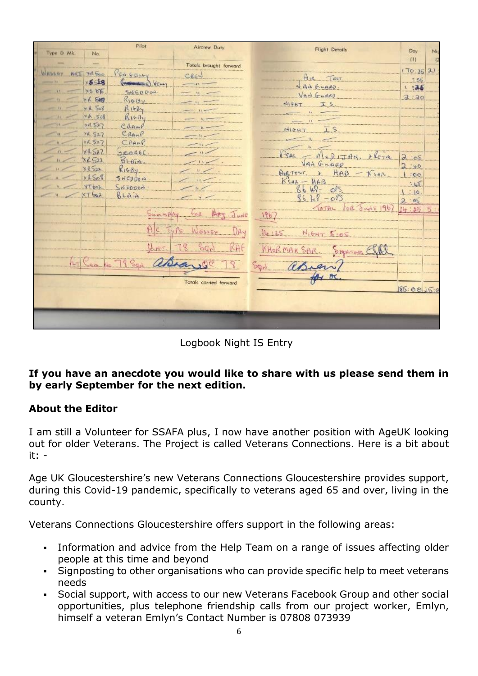|            |                    | Pilot                                 | Aircrew Duty           | <b>Flight Details</b>                 |                              |     |
|------------|--------------------|---------------------------------------|------------------------|---------------------------------------|------------------------------|-----|
| Type G Mk  | No.                |                                       |                        |                                       | Day<br>(1)                   | Nic |
|            |                    |                                       | Totals brought forward |                                       |                              |     |
| Within the | MAIL YR ENO        | FEN GELLY                             | CREW                   | $A_{14}$<br>$T \in ST$                | 170:35 21                    |     |
|            | $\times$ 5 $\pm$ 8 | $(m_{\text{dimered}})$<br><b>NELL</b> |                        | NANGUARD.                             | $-36$<br>1:35                |     |
| 31.        | x5556              | SNEDDOW.                              |                        | VAN GUARD                             |                              |     |
|            | xK527              | $R_1 \oplus B_1$                      |                        | NIFHT<br>IS                           | 2:20                         |     |
|            | $y$ $4.508$        | R16B                                  |                        |                                       |                              |     |
|            | 46.508             | Riv-Dy                                |                        |                                       |                              |     |
|            | 48527              | Cramp                                 |                        | NIEHT                                 |                              |     |
|            | ra 527             | ERANP                                 |                        |                                       |                              |     |
|            | ×R.527             | CRAMP.                                |                        |                                       |                              |     |
| $11 -$     | $\times$ R527      | JEORGE.                               |                        | SAR<br>$\hat{M}$<br>401<br><b>THN</b> |                              |     |
| W.         | XL522              | $BL + BL$                             |                        | VAS GRARR                             | .65<br>$\overline{C}$<br>740 |     |
|            | XRS22              | RIGBy                                 |                        | HAB<br>Aug TEST. 8<br>560             | : 00                         |     |
|            | YL508              | SNEDDON                               |                        | $K$ san - $HAB$                       | $-45$                        |     |
|            | YT.box             | SNEDDON                               | tr                     | $C^{15}$<br>49<br><b>A</b>            | .10                          |     |
|            | $XT$ baz           | BLAIN                                 |                        | 86 H<br>$-o0$                         | $\alpha$                     |     |
|            |                    |                                       |                        | of Japic<br>$\sigma$ THL              | 14:25                        |     |
|            |                    | <b>REALMANY</b>                       | $1 - 2$<br>JUNE        | 196                                   |                              |     |
|            |                    |                                       |                        |                                       |                              |     |
|            |                    |                                       | Av                     | $J_{\rm L}$<br>5.18                   |                              |     |
|            |                    |                                       | A                      |                                       |                              |     |
|            |                    |                                       |                        | <b>DIRNAUA</b>                        |                              |     |
|            |                    | 8 September                           |                        |                                       |                              |     |
|            |                    |                                       |                        |                                       |                              |     |
|            |                    |                                       | Totals carried farward | <b>BC</b>                             |                              |     |
|            |                    |                                       |                        |                                       | 85.00150                     |     |
|            |                    |                                       |                        |                                       |                              |     |
|            |                    |                                       |                        |                                       |                              |     |
|            |                    |                                       |                        |                                       |                              |     |
|            |                    |                                       |                        |                                       |                              |     |

Logbook Night IS Entry

# **If you have an anecdote you would like to share with us please send them in by early September for the next edition.**

# **About the Editor**

I am still a Volunteer for SSAFA plus, I now have another position with AgeUK looking out for older Veterans. The Project is called Veterans Connections. Here is a bit about it: -

Age UK Gloucestershire's new Veterans Connections Gloucestershire provides support, during this Covid-19 pandemic, specifically to veterans aged 65 and over, living in the county.

Veterans Connections Gloucestershire offers support in the following areas:

- Information and advice from the Help Team on a range of issues affecting older people at this time and beyond
- Signposting to other organisations who can provide specific help to meet veterans needs
- Social support, with access to our new Veterans Facebook Group and other social opportunities, plus telephone friendship calls from our project worker, Emlyn, himself a veteran Emlyn's Contact Number is 07808 073939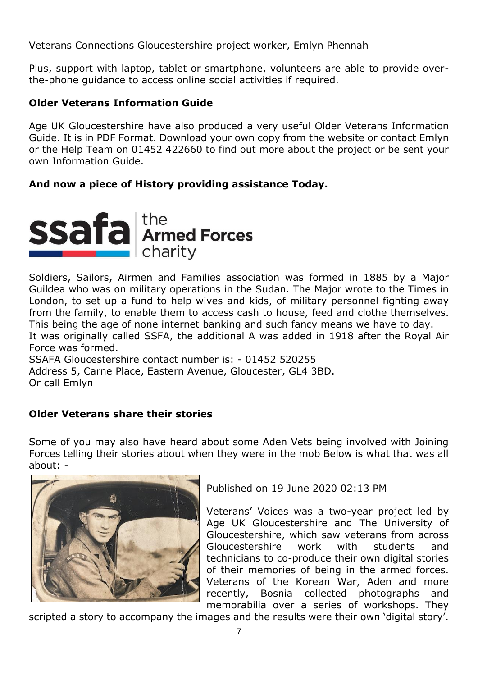Veterans Connections Gloucestershire project worker, Emlyn Phennah

Plus, support with laptop, tablet or smartphone, volunteers are able to provide overthe-phone guidance to access online social activities if required.

#### **Older Veterans Information Guide**

Age UK Gloucestershire have also produced a very useful Older Veterans Information Guide. It is in PDF Format. Download your own copy from the website or contact Emlyn or the Help Team on 01452 422660 to find out more about the project or be sent your own Information Guide.

# **And now a piece of History providing assistance Today.**



Soldiers, Sailors, Airmen and Families association was formed in 1885 by a Major Guildea who was on military operations in the Sudan. The Major wrote to the Times in London, to set up a fund to help wives and kids, of military personnel fighting away from the family, to enable them to access cash to house, feed and clothe themselves. This being the age of none internet banking and such fancy means we have to day. It was originally called SSFA, the additional A was added in 1918 after the Royal Air

Force was formed. SSAFA Gloucestershire contact number is: - 01452 520255 Address 5, Carne Place, Eastern Avenue, Gloucester, GL4 3BD. Or call Emlyn

# **Older Veterans share their stories**

Some of you may also have heard about some Aden Vets being involved with Joining Forces telling their stories about when they were in the mob Below is what that was all about: -



Published on 19 June 2020 02:13 PM

Veterans' Voices was a two-year project led by Age UK Gloucestershire and The University of Gloucestershire, which saw veterans from across Gloucestershire work with students and technicians to co-produce their own digital stories of their memories of being in the armed forces. Veterans of the Korean War, Aden and more recently, Bosnia collected photographs and memorabilia over a series of workshops. They

scripted a story to accompany the images and the results were their own 'digital story'.